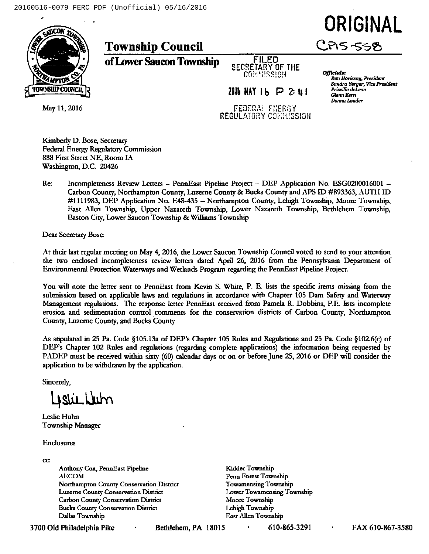# ORIGINAL **CPIS-558**



**Township Council** 

of Lower Saucon Township

**FILED** SECRETARY OF THE COMMISSION

 $2016$   $HAY$   $16$   $P$   $2:$   $11$ **FEBERAL ENERGY** REGULATORY CONNISSION Officials: Ron Horiszny, President Sandra Yerger, Vice President Priscilla del con **Glenn Kern** Donna Louder

May 11, 2016

Kimberly D. Bose, Secretary Federal Energy Regulatory Commission 888 First Street NE, Room IA Washington, D.C. 20426

 $Re:$ Incompleteness Review Letters - PennEast Pipeline Project - DEP Application No. ESG0200016001 -Carbon County, Northampton County, Luzerne County & Bucks County and APS ID #893363, AUTH ID #1111983, DFP Application No. E48-435 – Northampton County, Lehigh Township, Moore Township, East Allen Township, Upper Nazareth Township, Lower Nazareth Township, Bethlehem Township, Easton City, Lower Saucon Township & Williams Township

Dear Secretary Bose:

At their last regular meeting on May 4, 2016, the Lower Saucon Township Council voted to send to your attention the two enclosed incompleteness review letters dated April 26, 2016 from the Pennsylvania Department of Environmental Protection Waterways and Wetlands Program regarding the PennEast Pipeline Project.

You will note the letter sent to PennEast from Kevin S. White, P. E. lists the specific items missing from the submission based on applicable laws and regulations in accordance with Chapter 105 Dam Safety and Waterway Management regulations. The response letter PennEast received from Pamela R. Dobbins, P.E. lists incomplete erosion and sedimentation control comments for the conservation districts of Carbon County, Northampton County, Luzerne County, and Bucks County

As stipulated in 25 Pa. Code §105.13a of DEP's Chapter 105 Rules and Regulations and 25 Pa. Code §102.6(c) of DEP's Chapter 102 Rules and regulations (regarding complete applications) the information being requested by PADEP must be received within sixty (60) calendar days or on or before June 25, 2016 or DEP will consider the application to be withdrawn by the application.

Sincerely,

Listichum

Leslie Huhn **Township Manager** 

Enclosures

CC:

Anthony Cox, PennEast Pipeline AECOM Northampton County Conservation District Luzerne County Conservation District **Carbon County Conservation District Bucks County Conservation District** Dallas Township

Kidder Township Penn Forest Township **Towamensing Township** Lower Towamensing Township Moore Township Lehigh Township East Allen Township

3700 Old Philadelphia Pike

Bethlehem, PA 18015

610-865-3291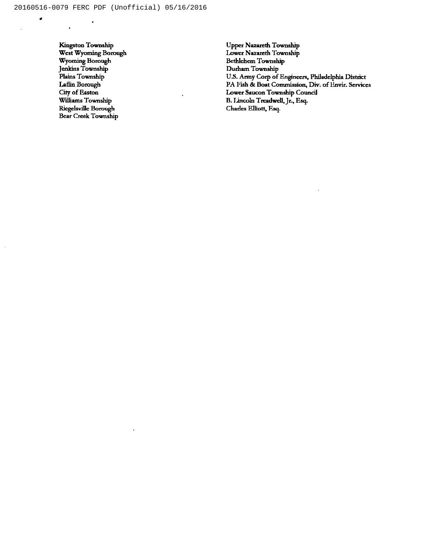Kingston Township West Wyoming Borough Wyoming Bomugh Jenkins Townshi Plains Township Laflin Borough City of Easton Williams Township Ricgelsville Borough Bear Creek Township

 $\bullet$ 

 $\ddot{\phantom{a}}$ 

J.

 $\bullet$ 

Upper Nazareth Township Lower Nazareth Township Bethlehem Township Durham Township U.S. Army Corp of Engineers, Philadelphia Distric PA I ish & Boat Commission, Div. of Lnvir. Service Lower Ssucon Township Council B. Lincoln Treadwell, Jr., Esq. Charles Elliott, Fsq.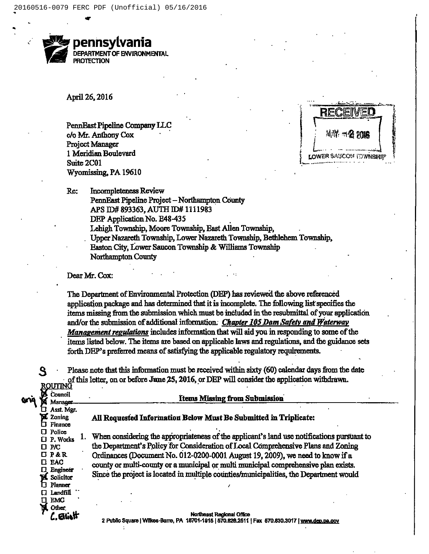

April 26, 2016

PennEast Pipeline Company LLC c/o Mr. Anthony Cox Project Manager 1 Meridian Boulevard Suite 2C01 Wyomissing, PA 19610



**Incompleteness Review** Re:

> PennEast Pipeline Project - Northampton County APS ID# 893363, AUTH ID# 1111983 DEP Application No. E48-435 Lehigh Township, Moore Township, East Allen Township,

Upper Nazareth Township, Lower Nazareth Township, Bethlehem Township, Easton City, Lower Saucon Township & Williams Township Northampton County

## Dear Mr. Cox:

6x1

The Department of Environmental Protection (DEP) has reviewed the above referenced application package and has determined that it is incomplete. The following list specifies the items missing from the submission which must be included in the resubmittal of your application and/or the submission of additional information. Chapter 105 Dam Safety and Waterway Management regulations includes information that will aid you in responding to some of the items listed below. The items are based on applicable laws and regulations, and the guidance sets forth DEP's preferred means of satisfying the applicable regulatory requirements.

Please note that this information must be received within sixty (60) calendar days from the date of this letter, on or before June 25, 2016, or DEP will consider the application withdrawn. <u>ROUTINĞ</u>

|                         | Council<br>Manager           | <b>Items Missing from Submission</b>                                                       |
|-------------------------|------------------------------|--------------------------------------------------------------------------------------------|
|                         | Asst. Mgr.                   |                                                                                            |
| π                       | Zoning<br>Financo            | All Requested Information Below Must Be Submitted in Triplicate:                           |
| $\Box$ Police           |                              | When considering the appropriateness of the applicant's land use notifications pursuant to |
| $\square$ $\textrm{PC}$ | 口 P. Works                   | the Department's Policy for Consideration of Local Comprehensive Plans and Zoning          |
| U P&R                   |                              | Ordinances (Document No. 012-0200-0001 August 19, 2009), we need to know if a              |
| $\square$ EAC           | Engineer                     | county or multi-county or a municipal or multi municipal comprehensive plan exists.        |
| Ы                       | Solicitor                    | Since the project is located in multiple counties/municipalities, the Department would     |
|                         |                              |                                                                                            |
|                         | <b>EMC</b>                   |                                                                                            |
|                         | Other,                       |                                                                                            |
|                         | Planner<br>Landfill<br>Aliat | <b>Northeast Regional Office</b>                                                           |

2 Public Square | Wilkes-Barre, PA 18701-1915 | 570.826.2511 | Fax 570.830.3017 [ www.dep.pa.gov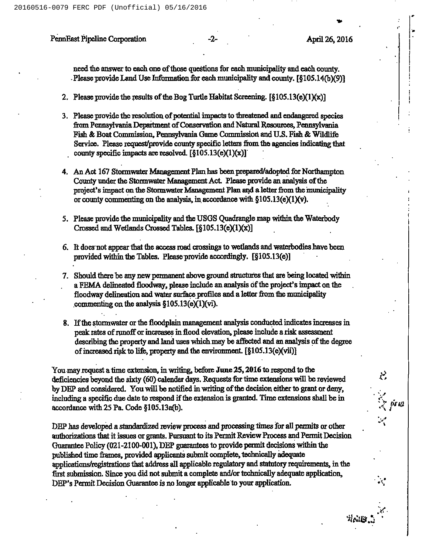20160516-0079 FERC PDF (Unofficial) 05/16/2016

# PennFast Pipeline Corporation -2- April 26, 2016

è.

Reals.

 $\lesssim$  js io

need the answer to each one of those questions for each municipality and each county. . Please provide Land Use Information for each municipality and county. [§105.14(b)(9)]

- 2. Please provide the results of the Bog Turtle Habitat Screening.  $\lceil \S 105.13(e)(1)(x) \rceil$
- 3. Please provide the resolution of potential impacts to threatened and endangered species from Pennsylvania Department of Conservation and Natural Resources, Pennsylvania Fish & Boat Commission, Pennsylvania Game Commission and U.S. Fish & Wildlife Service. Please request/provide county specific letters from the agencies indicating that county specific impacts are resolved.  $[\S105.13(e)(1)(x)]$ .
- 4. An Act 167 Stormwater Management Plan has been prepared/adopted for Northampton County under the Stormwater Management Act. Please provide an analysis of the project's impact on the Stormwater Management Plan and a letter from the municipality or county commenting on the analysis, in accordance with  $$105.13(e)(1)(v)$ .
- 5. Please pmvide the municipality aud the USGS Quadrangle map within the Waterbody Crossed and Wetlands Crossed Tables.  $\lceil \S 105.13(e)(1)(x) \rceil$
- 6. It does not appear that the access road crossings to wetlands and waterbodies have been provided within the Tables. Please provide accordingly. [§105.13(e)]
- provided within the Tables. Flease provide according<br>7. Should there be any new permanent above ground<br>9. ERMA delineated floodway please include and It does not appear that the access road crossings to wetlands aprovided within the Tables. Please provide accordingly. [§1]<br>Should there be any new permanent above ground structures<br>a FEMA delineated floodway, please inclu that are being located within of appear the<br>within the<br>nere be any<br>delineated:<br>delineation floodway, please include an analysis of the project's impact on the floodway delineation and water surface profiles and a letter from the municipality commenting on the analysis  $$105.13(e)(i)$ .
- 8. Ifthe stormwater or the fioodplain management aualysh conducted indicates increases in peak rates of runoff or increases in flood elevation, please include a risk assessment describing the property and land uses which may be affected and an analysis of the degree tysis conditions<br>of the independent<br>of the set of 105 of increased risk to life, property and the environment.  $[\S105.13(e)(\n\t)$

You may request a time extension, in writing, before June 25, 2016 to respond to the deficiencies beyond the sixty (60) calendar days. Requests for time extensions will be reviewed by DEP and considered. You will be notified in writing of the decision either to grant or deny, including a specific due date to respond if the extension is granted. Time extensions shall be in accordance with 25 Pa. Code \$105.13a(b).

DEP has developed a standardized review process and processing times for all permits or other accordance with 25 Pa. Code §105.13a(b).<br>DEP has developed a standardized review process and processing times for all permits or other<br>authorizations that it issues or grants. Pursuant to its Permit Review Process and Perm ons that it issues or grants. Pursuant to its Permit Review Process and Permit I<br>Policy (021-2100-001), DEP guarantees to provide permit decisions within the published time frames, provided applicants submit complete, technically adequate applications/registrations that address all applicable regulatory and statutory requirements, in the first submission. Since you did not submit a complete and/or technically adequate application, DEP's Permit Decision Guarantee is no longer applicable to your application.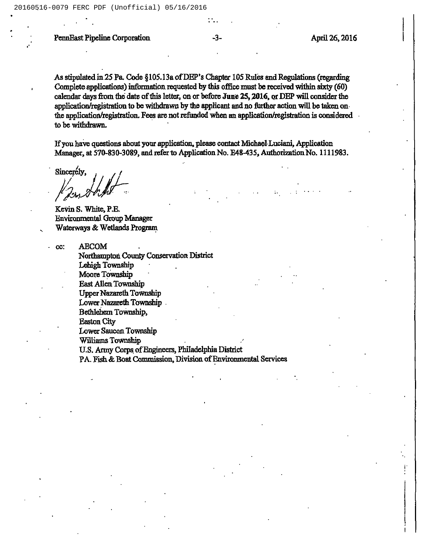PennEast Pipeline Corporation -3- April 26, 2016

As stipulated in 25 Pa. Code  $\S 105.13a$  of DEP's Chapter 105 Rules and Regulation<br>Complete applications) information requested by this office must be received within Complete applications) information requested by this office must be received within (regarding<br>sixty (60) calendar days from the date of this letter, on or before June 25, 2016, or DEP will consider the application/registration to be withdrawn by the applicant and no further action will be taken on. the application/registmtion. Fees are not refunded when an application/registration is considered to be withdrawn.

Ifyou have questions about yom application, please contact Michael.Lucisni, Application Manager, at 570-830-3089, and refer to Application No. E48-435, Authorization No. 1111983.

Sincerely,

Kevin S. White, P.E Environmental Group Waterways & Wetlands Program<br>Wetlands Choup Manager<br>Waterways & Wetlands Program

cc: AECOM<br>Northampton County Conservation District Lebigh Township Moore Township East Allen Township Upper Nazareth Township Lower Nazareth Township. Bethlehem Township, Easton City Lower Saucon Township Williams Township U.S. Army Corps of Engineers, Philadelphia District

PA. Fish & Boat Commission, Division of Environmental Services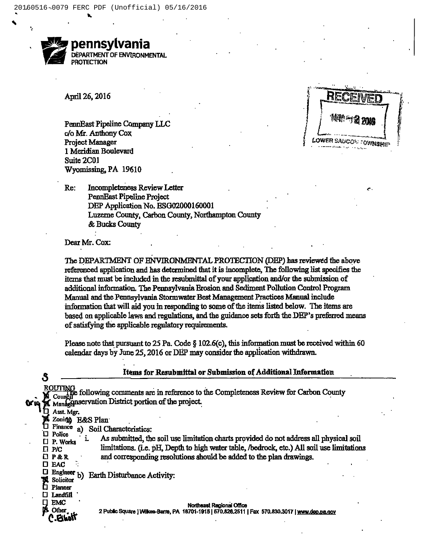

April 26, 2016

PennEast Pipeline Company LLC c/o Mr. Anthony Cox **Project Manager** 1 Meridian Boulevard Suite 2C01 Wyomissing, PA 19610

LOWER SAUCON TOWNSHIP

Incompleteness Review Letter Re: PennEast Pipeline Project DEP Application No. ESG02000160001 Luzerne County, Carbon County, Northampton County & Bucks County

Dear Mr. Cox:

The DEPARTMENT OF ENVIRONMENTAL PROTECTION (DEP) has reviewed the above referenced application and has determined that it is incomplete, The following list specifies the items that must be included in the resubmittal of your application and/or the submission of additional information. The Pennsylvania Erosion and Sediment Pollution Control Program Manual and the Pennsylvania Stormwater Best Management Practices Manual include information that will aid you in responding to some of the items listed below. The items are based on applicable laws and regulations, and the guidance sets forth the DEP's preferred means of satisfying the applicable regulatory requirements.

Please note that pursuant to 25 Pa. Code § 102.6(c), this information must be received within 60 calendar days by June 25, 2016 or DEP may consider the application withdrawn.

|   | Items for Resubmittal or Submission of Additional Information                                                                                                                                                                                                                                              |  |
|---|------------------------------------------------------------------------------------------------------------------------------------------------------------------------------------------------------------------------------------------------------------------------------------------------------------|--|
|   | ROUTINA<br>the following comments are in reference to the Completeness Review for Carbon County<br>Counci<br>Managenservation District portion of the project.                                                                                                                                             |  |
| п | Asst. Mer.<br>Zoning<br><b>E&amp;S Plan</b><br>Finance<br>Soil Characteristics:<br>a)<br>Police                                                                                                                                                                                                            |  |
| п | As submitted, the soil use limitation charts provided do not address all physical soil<br>P. Works<br>limitations. (i.e. pH, Depth to high water table, /bedrock, etc.) All soil use limitations<br>P/C.<br>and corresponding resolutions should be added to the plan drawings.<br>$\Box$ $P$ & R<br>D EAC |  |
|   | Engineer $b)$<br><b>Earth Disturbance Activity:</b><br>Solicitor<br><b>Planner</b>                                                                                                                                                                                                                         |  |
|   | Landfill<br>EMC<br>Northeast Regional Office<br><b>Other</b><br>2 Public Square   Wilkes-Barre, PA 18701-1915   570.826.2511   Fax 570.830.3017   www.dep.pa.gov                                                                                                                                           |  |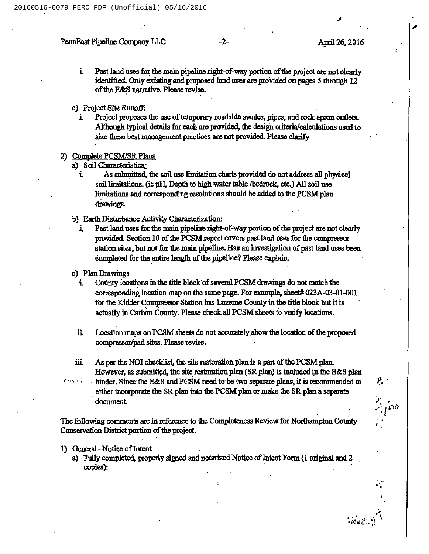### PennEast Pipeline Company LLC 42-<br>
2-<br>
April 26, 2016

Ia<br>I

- i. Past land uses for the main pipeline right-of-way portion of the project are not clearly identified. Only existing and proposed land uses are provided on pages 5 through 12 of the E&S narrative. Please revise.
- c) Project Site Runoff:
	- i. Project proposes the use of temporary roadside swales, pipes, and rock apron outlets. Although typical details for each are pmvided, the design criteria/calculations used to size these best management practices are not provided. Please clarify
- 2) Complete PCSM/SR Plans
	- a) Soil Characteristics:
		- As submitted, the soil use limitation charts provided do not address all physical i. soil limitations. (ie pH, Depth to high water table /bedrock, etc.) All soil use limitations and corresponding resolutions should be added to the PCSM plan drawings.
	- b) Earth Disturbance Activity Characterization:
		- i. Past land uses for the main pipeline right-of-way portion of the project are not clearly provided. Section 10 of the PCSM report covers past land uses for the compressor station sites, but not for the main pipeline. Has an investigation of past land uses been completed for the entire length of the pipeline? Please explain.
	- c) Plan Drawings
		- i. County locations in the title block of several PCSM drawings do not match the corresponding location map on the same page. For example, sheet# 023A-03-01-001 for the Kidder Compressor Station has Luzeme County in the title block but it is actually in Carbon County. Please check all PCSM sheets to verify locations.
		- ii. Location maps on PCSM sheets do not accurately show the location of the proposed compressor/pad sites. Please revise.
	- iii. As per the NOI checklist, the site restoration plan is a part of the PCSM plan. However, as submitted, the site restoration plan (SR plan) is included in the E&S plan
- binder. Since the E/kg and PCSM need to be two'separate plans, it is recommended to. **Contract Contract** either incorporate the SR plan into the PCSM plan or make the SR plan a separate document.

The following comments are in reference to the Completeness Review for Northampton County Conservation District portion of the project.

- 1) General –Notice of Intent
	- a) Fully completed, properly signed and notarized Notice of Intent Form (1 original and 2 copies):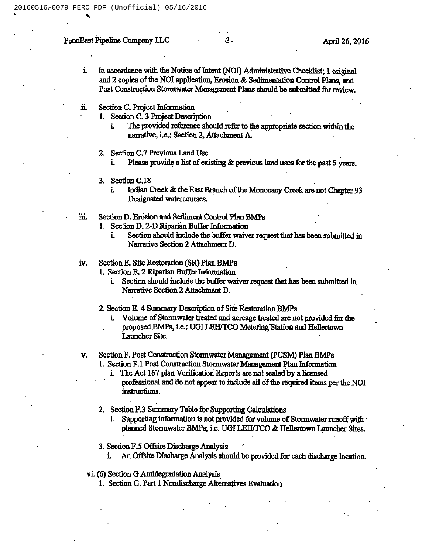# PennEast Pipeline Company LLC -3- April 26, 2016

- i. In accordance with the Notice of Intent (NOI) Administrative Checklist; 1 origins ipeline Company LLC<br>43-<br>April 26,<br>April 26,<br>In accordance with the Notice of Intent (NOI) Administrative Checklist; 1 origins<br>and 2 copies of the NOI application, Erosion & Sedimentation Control Plans, and<br>Read Constructio Post Construction Stormwater Management Plans should be submitted for review.
- ii. Section C. Project Information
	- 1. Section C. 3 Project Description<br>i. The provided reference sho
- i. The provide mwater Mi<br>rmation<br>t Descripti<br>reference<br>: Section 2 should refer to the appzopriate section within the narrative, i.e.: Section 2, Attachment A.
	- 2. Section C.7 Previous Land Use
		- i. Please provide a list of existing  $\&$  previous land uses for the past 5 years.
	- 3. Section C.18
		- i. Indian Creek & the East Branch of the Monocacy Creek are not Chapter 93 Designated watercourses.
- iii. Section D. Erosion and Sediment Control Plan BMPs
	- 1. Section D. 2-D Riparian Buffer Information
		- i. Section should include the buffer waiver request that has been submitted in Narrative Section 2 Attachment D.
- iv. Section E. Site Restoration (SR) Plan BMPs
	- 1. Section E. 2 Riparian Buffer Information
		- i. Section should include the buffer waiver request that has been submitted in Narrative Section 2 Attachment D.
	- 2. Section E. 4 Summary Description of Site Restoration BMPs
		- i. Volume of Stormwater treated and acreage treated are not provided for the proposed BMPs, Le.:UGI LEKTCO Metering'Station and Hellertown Launcher Site.
- v. Section F. Post Construction Stormwater Management (PCSM) Plan BMPs 1. Section F.1 Post Construction Stormwater Management Plan Information
	- i. The Act 167 plan Verification Reports are not sealed by a licensed
	- professional and do not appear to include all of the required items per the NOI instructions.
	- 2. Section F.3 Summary Table for Supporting Calculations
		- i. Supporting information is not provided for volume of Stormwater runoff with planned Stormwater BMPs; i.e. UGI LEH/TCO & Hellertown Launcher Sites.
	- 3. Section F.5 Offsite Discharge Analysis
		- i. An Offsite Discharge Analysis should be provided for each discharge location.
	- vi. (6) Section G Antidegzadation Analysis
		- 1. Section G. Part 1 Nondischarge Alternatives Evaluation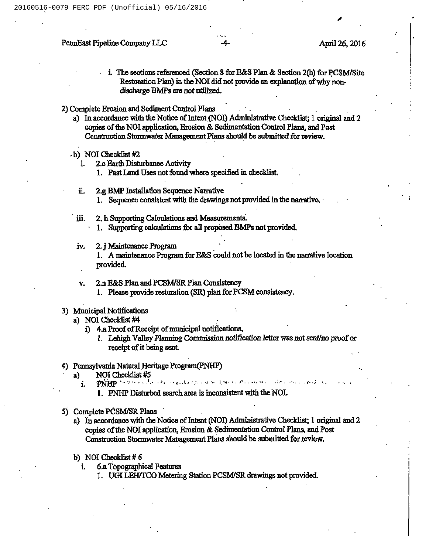### PennEast Pipeline Company LLC 4- April 26, 2016

i. The sections referenced (Section 8 for E&S Plan & Section 2(h) for PCSM/Site  $\sim$  Restoration Plan) in the NOI did not provide an explanation of why nondischarge BMPs are not utilized.

2) Complete Erosion and Sediment Control Plans

- a) In accordance with the Notice of Intent (NOI) Administrative Checklist; 1 original and 2 copies of the NOI application, Erosion & Sedimentation Control Plans, and Post Construction Stormwater Management Plans should be submitted for review.
- b) NOI Checklist #2<br>i. 2.c Earth Dist
	- 2.c Earth Disturbance Activity
		- 1. Past Land Uses not found where specified in checklist.
	- ii. 2.g BMP Installation Sequence Narrative 1. Sequence consistent with the drawings not provided in the narrative.
- iii. 2. h Supporting Calculations and Measurements. 1. Supporting calculations for all proposed BMPs not provided.
- iv. 2.j Maintenance Program 1. A maintenance Program for E&S could not be located in the narrative location provided.
- v. 2.n E&S Plan and PCSM/SR Plan Consistency 1. Please provide restoration (SR) plan for PCSM consistency.

#### 3) Municipal Notifications

- a) NOI Checklist #4
	- i) 4.a Proof of Receipt of municipal notifications,
		- 1. Lehigh Valley Planning Commission notificsfion letter was not sent/no pmof or receipt of it being sent.

# 4) Pennsylvania Natural Heritage Program(PNH)<br>a) NOI Checklist #5

- 1. PNHP Disturbed search area is inconsistent with the NOI.
- 5) Complete PCSM/SR Plans
	- a) In accordance with the Notice of Intent (NOI) Administrative Checklist; 1 original and 2 copies of the NOI application, Erosion & Sedimentation Control Plans, and Post Construction Stormwater Management Plans should be submitted for review.
	- b) NOI Checklist #6
		- i. 6.aTopographical Peatures
- 1. U<mark>GI LEH/TC</mark>O er Manage<br>'eatures<br>Metering Station PCSM/SR drawings not provided.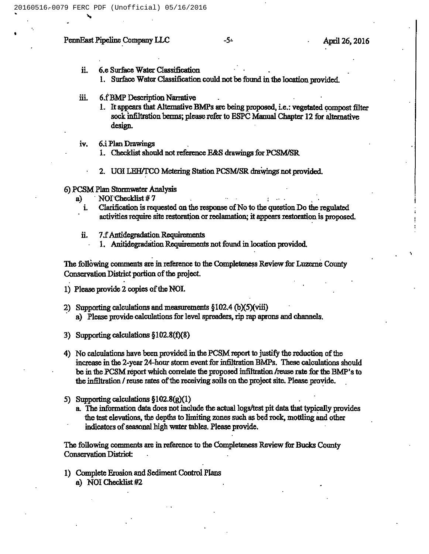# PennEast Pipeline Company LLC -5- April 26, 2016

- ii. 6.e Surface Water Classification
	- 1. Surface Water Classification could not be found in the location ymvided.
- iii. 6.fBMP Description Narrative
- 1. It appears that Alternative BMPs are being proposed, i.e.: vegetated compost filter sock infiltration berms; please refer to ESPC Manual Chapter 12 for alternative<br>design.<br>Plan Drawings<br>Checklist should not reference E&S drawings for PCSM/SR oposed,<br>Manual design.
- iv. 6.iPlan Drawings
	- 1. Checklist should not reference E&S drawings for PCSM/SR
	- 2. UGI LEH/TCO Metering Station PCSM/SR drawings not provided.
- 6)PCSM Plan Stormwater Analysis
	- a) NOI Checklist #7<br>i. Clarification is req
		- i. Clarification is requested on the response of No to the question Do the regulated activities require site restoration or reclamation; it appears restoration is proposed.
		- $ii.$  7.f Antidegradation Requirements
			- 1. Anitidegradation Requirements not found in location provided.

The following comments are in reference to the Completeness Review for Luzerne County Conservation District portion of the project.

- 1) Please provide 2 copies of the NOI.
- 2) Supporting calculations and measurements  $\S102.4$  (b)(5)(viii) a) Please provide calculations for level spreaders, rip rap aprons and channels.
- 3) Supporting calculations \$102.8(f)(8)
- 4) No calculations have been provided in the PCSM report to justify the reduction of the increase in the 2-year 24hour storm event for infiltration BMPs. These calculations should be in the PCSM repoxt which correlate the proposed infiltration /reuse rate for the BMP's to the infiltration / reuse rates of the receiving soils on the project site. Please provide.
- 5) Supporting calculations  $$102.8(g)(1)$ 
	- a. The information data does not include the actual logs/test pit data that typically provides the test elevations, the depths to limiting zones such as bed mck, mottling and other indicators of seasonal high water tables. Please provide.

The following comments sxe in reference to the Completeness Review for Bucks County Conservation District:

1) Complete Erosion and Sediment Control Plans a) NOI Checklist #2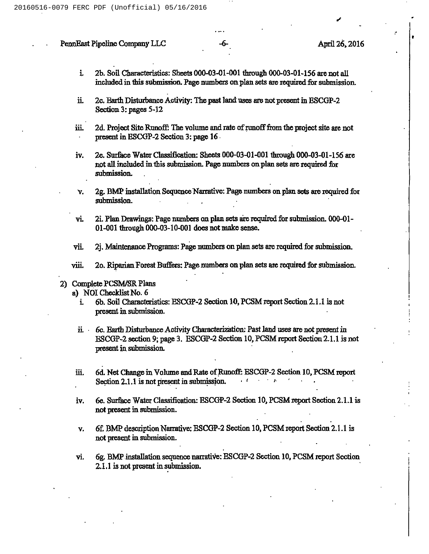#### PennEast Pipeline Company LLC  $-6-$  April 26, 2016

- i. 2b. Soil Characteristics: Sheets 000-03-01-001 thmugh 000-03-01-156are not all included in this submission. Page numbers on plan sets are required for submission.
- ü. 2c.Earth Distrbance Activity: The past land uses are not present in ESCGP-2 Section 3: pages 5-12
- 2d. Project Site Runoff: The volume and rate of runoff from the project site are not ш. present in ESCGP-2 Section 3:page 16
- iv. 2e. Surface Water Classification: Sheets 000-03-01-001 through 000-03-01-156 are not all included in this submission. Page numbers on plan sets are required for submission.
- 2g. BMP installation Sequence Narradve: Page numbers on plan sets are required for v. submission.
- vi. 2i. Plan Drawings: Page numbers on plan sets are required for submission. 000-01- $01-001$  through  $000-03-10-001$  does not make sense.
- vii. 2j. Maintenance Programs: Page numbers on plan sets are required for submission.
- viii. 2o. Riparian Forest Buffers: Page mnnbers on plan sets are required for submission.

### 2) Complete PCSM/SR Plans

- a) NOI Checklist No. 6
	- i. 6b. Soil Characteristics: ESCGP-2 Section 10, PCSM report Section 2.1.1 is not present m submission.
	- i. 6c. Earth Disturbance Activity Characterization: Past land uses are not present in ESCGP-2 section 9; page 3. ESCGP-2 Section 10, PCSM report Section 2.1.1 is not present in submission.
- 6d. Net Change in Volume and Rate of Runoff: ESCGP-2 Section 10, PCSM report Section 2.1.1 is not present in submission <u>ії.</u> Section 2.1.1 is not present in submission.
- iv. 6e. Surface Water Classification: ESCGP-2 Section 10, PCSM report Section 2.1.1 is not present in submission.
- v. 6f. BMP description Narrative: ESCGP-2 Section 10, PCSM report Section 2.1.1 is not present in submission.
- 6g. BMP installation sequence narrative: ESCGP-2 Section 10, PCSM report Section vi. 2.1.1 is not present in submission.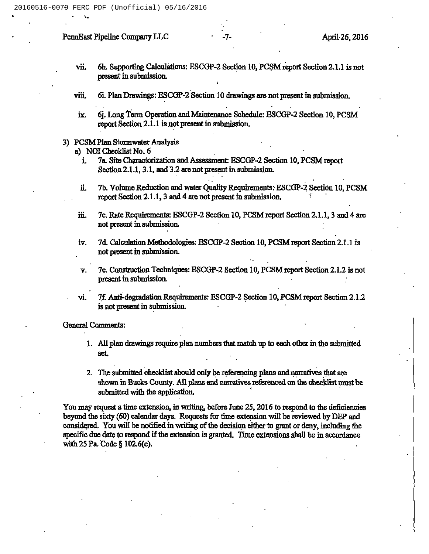# PennBast Pipeline Company LLC -7- -7- April 26, 2016

vii. 6h. Supporting Calculations: ESCGP-2 Section 10, PCSM report Section 2.1.1 is not present in submission. report:<br>present

I

- viii. 6i. Plan Drawings: ESCGP-2 Section 10 drawings are not in submissio<del>.</del>
- ix. 6j.Long Term Operation and Maintenance Schedule: BSCGP-2 Section 10, PCSM report Section 2.1.1 is not present in submission.

### 3) PCSM Plan Stormwater Analysis

a) NOI Checklist No. 6

- i. 7a. Site Characterization and Assessment: ESCGP-2 Section 10, PCSM report Section 2.1.1, 3.1, and 3.2 are not present in submission.
- ii. 7b. Volume Reduction and water Quality Requirements: ESCGP-2 Section 10, PCSM report Section 2.1.1, 3 and 4 are not present in submission.
- iii. 7c. Rate Requirements: BSCGP-2 Section 10, PCSM report Section 2.1.1, 3 and 4 are not present in submission.
- iv. 7d. Calculation Methodologies: ESCGP-2 Section 10, PCSM report Section 2.1.1 is not present m submission.
- v. 7e. Construction Techniques: HSCGP-2 Section 10,PCSM report Section 2.1.2is not present in submission.
- vi. 7f. Anti-degradation Requirements: ESCGP-2 Section 10, PCSM report Section 2.1.2 is not present in submission.

**General Comments:** 

- l. All plan drawings require plan numbers that match up to each other in the submitted set.
- 2. The submitted checklist should only be referencing plans and narratives that are shown in Bucks County. All plans and narratives referenced on the checklist must be submitted with the application.

You may request a time extension, in writing, before June 25, 2016 to respond to the deficiencies beyond the sixty (60) calendar days. Requests for time extension will be reviewed by DEP and considered. You will be notified in writing of the decision either to grant or deny, including the specific due date to respond if the extension is granted. Time extensions shall be in accordance with 2S Pa. Code \$ 102.6(c).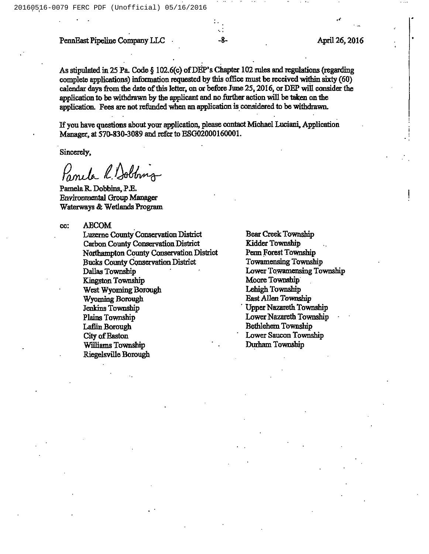# PennEast Pipeline Company LLC -8- April 26, 2016

As stipulated in 25 Pa. Code  $\S$  102.6(c) of DEP's Chapter 102 rules and regulations (regarding complete applications) information requested by this office must be received within sixty (60) calendar days from the date of this letter, on or before June 25, 2016, or DEP will consider the application to be withdrawn by the applicant and no further action will be taken on the application. Fees are not refunded when an application is considered to be withdrawn.

Ifyou have questions about your application, please contact Michael Luciani, Application Manager, at 570-830-3089 and refer to ESG02000160001.

Sincerely,

Panela R. Dobbins

Pamela R. Dobbins, PZ. Environmental Group Manager Waterways & Wetlands Program

cc: ABCOM

Luzeme County Conservation District Carbon County Conservation District<br>Northampton County Conservation District Bucks County Conservation District Dallas Township Kingston Township West Wyoming Borough Wyoming Borough Jenkins Township Plains Township La6in Borough City of Easton Williams Township Riegelsville Bomugh

Bear Creek Township Kidder Township Penn Forest Township Towamensing Township Lower Towamensing Township Moore Township Lehigh Township Bast Allen Township 'pper Nazareth Township Lower Nazareth Township Bethlehem Township Lower Saucon Township Durham Township